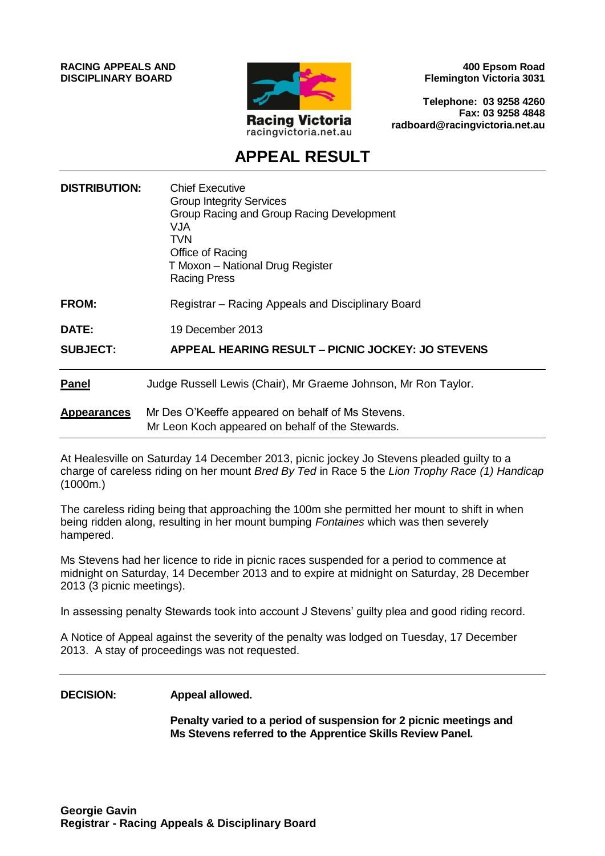**RACING APPEALS AND DISCIPLINARY BOARD**



**400 Epsom Road Flemington Victoria 3031**

**Telephone: 03 9258 4260 Fax: 03 9258 4848 radboard@racingvictoria.net.au**

# **APPEAL RESULT**

| <b>DISTRIBUTION:</b> | <b>Chief Executive</b><br><b>Group Integrity Services</b><br>Group Racing and Group Racing Development<br>VJA<br><b>TVN</b><br>Office of Racing<br>T Moxon - National Drug Register<br><b>Racing Press</b> |
|----------------------|------------------------------------------------------------------------------------------------------------------------------------------------------------------------------------------------------------|
| <b>FROM:</b>         | Registrar – Racing Appeals and Disciplinary Board                                                                                                                                                          |
| <b>DATE:</b>         | 19 December 2013                                                                                                                                                                                           |
| <b>SUBJECT:</b>      | APPEAL HEARING RESULT - PICNIC JOCKEY: JO STEVENS                                                                                                                                                          |
| <b>Panel</b>         | Judge Russell Lewis (Chair), Mr Graeme Johnson, Mr Ron Taylor.                                                                                                                                             |
| <b>Appearances</b>   | Mr Des O'Keeffe appeared on behalf of Ms Stevens.<br>Mr Leon Koch appeared on behalf of the Stewards.                                                                                                      |

At Healesville on Saturday 14 December 2013, picnic jockey Jo Stevens pleaded guilty to a charge of careless riding on her mount *Bred By Ted* in Race 5 the *Lion Trophy Race (1) Handicap*  $(1000m)$ 

The careless riding being that approaching the 100m she permitted her mount to shift in when being ridden along, resulting in her mount bumping *Fontaines* which was then severely hampered.

Ms Stevens had her licence to ride in picnic races suspended for a period to commence at midnight on Saturday, 14 December 2013 and to expire at midnight on Saturday, 28 December 2013 (3 picnic meetings).

In assessing penalty Stewards took into account J Stevens' guilty plea and good riding record.

A Notice of Appeal against the severity of the penalty was lodged on Tuesday, 17 December 2013. A stay of proceedings was not requested.

**DECISION: Appeal allowed.**

**Penalty varied to a period of suspension for 2 picnic meetings and Ms Stevens referred to the Apprentice Skills Review Panel.**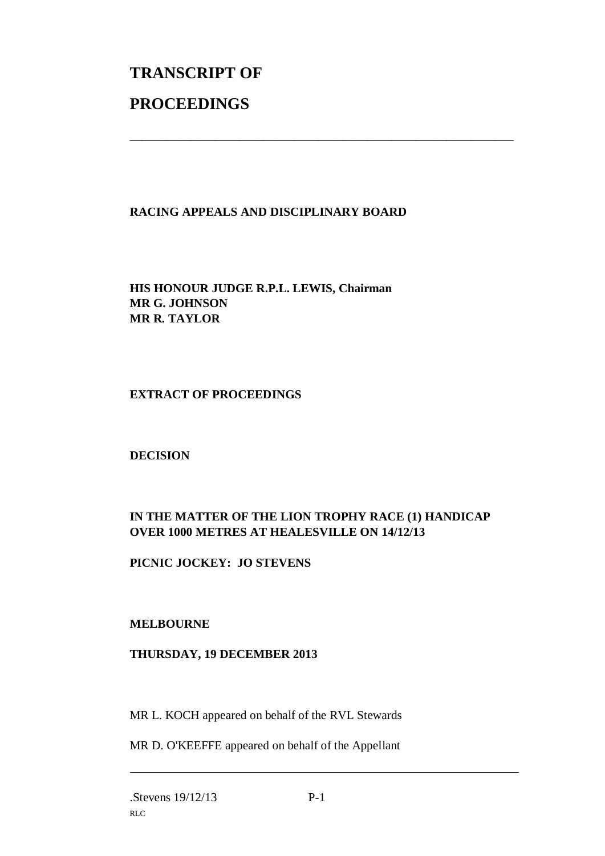# **TRANSCRIPT OF PROCEEDINGS**

# **RACING APPEALS AND DISCIPLINARY BOARD**

\_\_\_\_\_\_\_\_\_\_\_\_\_\_\_\_\_\_\_\_\_\_\_\_\_\_\_\_\_\_\_\_\_\_\_\_\_\_\_\_\_\_\_\_\_\_\_\_\_\_\_\_\_\_\_\_\_\_\_\_\_\_\_

**HIS HONOUR JUDGE R.P.L. LEWIS, Chairman MR G. JOHNSON MR R. TAYLOR**

#### **EXTRACT OF PROCEEDINGS**

#### **DECISION**

# **IN THE MATTER OF THE LION TROPHY RACE (1) HANDICAP OVER 1000 METRES AT HEALESVILLE ON 14/12/13**

**PICNIC JOCKEY: JO STEVENS**

## **MELBOURNE**

## **THURSDAY, 19 DECEMBER 2013**

MR L. KOCH appeared on behalf of the RVL Stewards

MR D. O'KEEFFE appeared on behalf of the Appellant